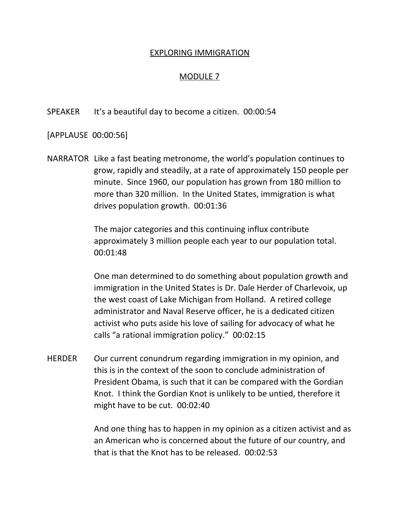## EXPLORING IMMIGRATION

## MODULE 7

SPEAKER It's a beautiful day to become a citizen. 00:00:54

[APPLAUSE 00:00:56]

NARRATOR Like a fast beating metronome, the world's population continues to grow, rapidly and steadily, at a rate of approximately 150 people per minute. Since 1960, our population has grown from 180 million to more than 320 million. In the United States, immigration is what drives population growth. 00:01:36

> The major categories and this continuing influx contribute approximately 3 million people each year to our population total. 00:01:48

One man determined to do something about population growth and immigration in the United States is Dr. Dale Herder of Charlevoix, up the west coast of Lake Michigan from Holland. A retired college administrator and Naval Reserve officer, he is a dedicated citizen activist who puts aside his love of sailing for advocacy of what he calls "a rational immigration policy." 00:02:15

HERDER Our current conundrum regarding immigration in my opinion, and this is in the context of the soon to conclude administration of President Obama, is such that it can be compared with the Gordian Knot. I think the Gordian Knot is unlikely to be untied, therefore it might have to be cut. 00:02:40

> And one thing has to happen in my opinion as a citizen activist and as an American who is concerned about the future of our country, and that is that the Knot has to be released. 00:02:53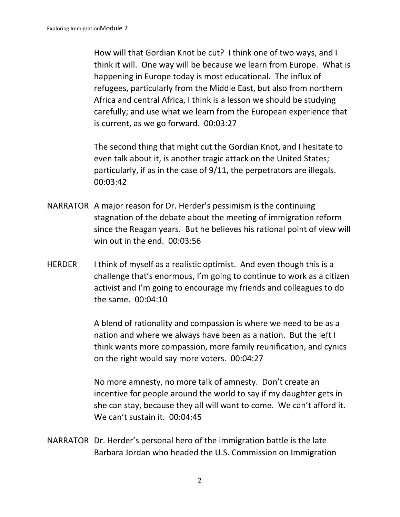How will that Gordian Knot be cut? I think one of two ways, and I think it will. One way will be because we learn from Europe. What is happening in Europe today is most educational. The influx of refugees, particularly from the Middle East, but also from northern Africa and central Africa, I think is a lesson we should be studying carefully; and use what we learn from the European experience that is current, as we go forward. 00:03:27

The second thing that might cut the Gordian Knot, and I hesitate to even talk about it, is another tragic attack on the United States; particularly, if as in the case of 9/11, the perpetrators are illegals. 00:03:42

- NARRATOR A major reason for Dr. Herder's pessimism is the continuing stagnation of the debate about the meeting of immigration reform since the Reagan years. But he believes his rational point of view will win out in the end. 00:03:56
- HERDER I think of myself as a realistic optimist. And even though this is a challenge that's enormous, I'm going to continue to work as a citizen activist and I'm going to encourage my friends and colleagues to do the same. 00:04:10

A blend of rationality and compassion is where we need to be as a nation and where we always have been as a nation. But the left I think wants more compassion, more family reunification, and cynics on the right would say more voters. 00:04:27

No more amnesty, no more talk of amnesty. Don't create an incentive for people around the world to say if my daughter gets in she can stay, because they all will want to come. We can't afford it. We can't sustain it. 00:04:45

NARRATOR Dr. Herder's personal hero of the immigration battle is the late Barbara Jordan who headed the U.S. Commission on Immigration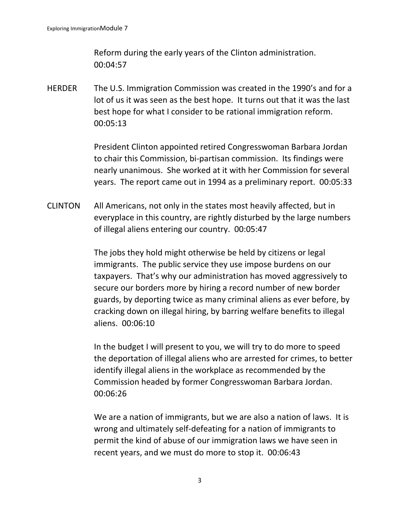Reform during the early years of the Clinton administration. 00:04:57

HERDER The U.S. Immigration Commission was created in the 1990's and for a lot of us it was seen as the best hope. It turns out that it was the last best hope for what I consider to be rational immigration reform. 00:05:13

> President Clinton appointed retired Congresswoman Barbara Jordan to chair this Commission, bi-partisan commission. Its findings were nearly unanimous. She worked at it with her Commission for several years. The report came out in 1994 as a preliminary report. 00:05:33

CLINTON All Americans, not only in the states most heavily affected, but in everyplace in this country, are rightly disturbed by the large numbers of illegal aliens entering our country. 00:05:47

> The jobs they hold might otherwise be held by citizens or legal immigrants. The public service they use impose burdens on our taxpayers. That's why our administration has moved aggressively to secure our borders more by hiring a record number of new border guards, by deporting twice as many criminal aliens as ever before, by cracking down on illegal hiring, by barring welfare benefits to illegal aliens. 00:06:10

> In the budget I will present to you, we will try to do more to speed the deportation of illegal aliens who are arrested for crimes, to better identify illegal aliens in the workplace as recommended by the Commission headed by former Congresswoman Barbara Jordan. 00:06:26

We are a nation of immigrants, but we are also a nation of laws. It is wrong and ultimately self-defeating for a nation of immigrants to permit the kind of abuse of our immigration laws we have seen in recent years, and we must do more to stop it. 00:06:43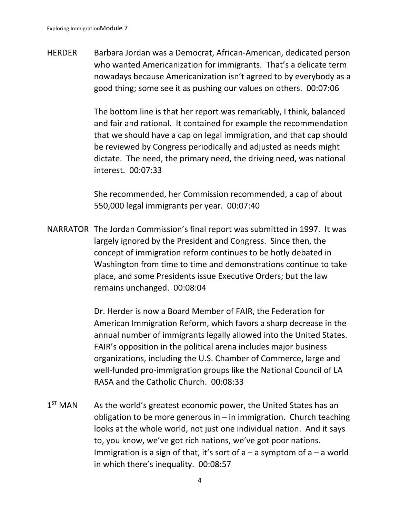HERDER Barbara Jordan was a Democrat, African-American, dedicated person who wanted Americanization for immigrants. That's a delicate term nowadays because Americanization isn't agreed to by everybody as a good thing; some see it as pushing our values on others. 00:07:06

> The bottom line is that her report was remarkably, I think, balanced and fair and rational. It contained for example the recommendation that we should have a cap on legal immigration, and that cap should be reviewed by Congress periodically and adjusted as needs might dictate. The need, the primary need, the driving need, was national interest. 00:07:33

She recommended, her Commission recommended, a cap of about 550,000 legal immigrants per year. 00:07:40

NARRATOR The Jordan Commission's final report was submitted in 1997. It was largely ignored by the President and Congress. Since then, the concept of immigration reform continues to be hotly debated in Washington from time to time and demonstrations continue to take place, and some Presidents issue Executive Orders; but the law remains unchanged. 00:08:04

> Dr. Herder is now a Board Member of FAIR, the Federation for American Immigration Reform, which favors a sharp decrease in the annual number of immigrants legally allowed into the United States. FAIR's opposition in the political arena includes major business organizations, including the U.S. Chamber of Commerce, large and well-funded pro-immigration groups like the National Council of LA RASA and the Catholic Church. 00:08:33

 $1<sup>ST</sup>$  MAN As the world's greatest economic power, the United States has an obligation to be more generous in  $-$  in immigration. Church teaching looks at the whole world, not just one individual nation. And it says to, you know, we've got rich nations, we've got poor nations. Immigration is a sign of that, it's sort of  $a - a$  symptom of  $a - a$  world in which there's inequality. 00:08:57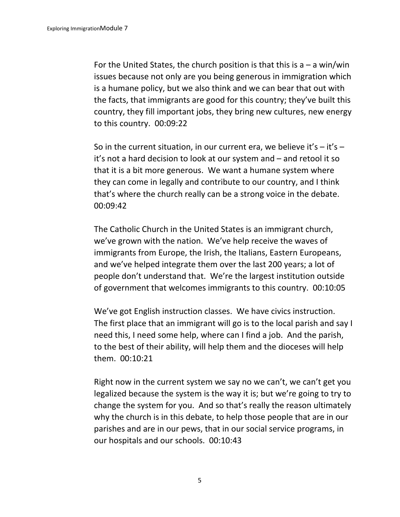For the United States, the church position is that this is  $a - a$  win/win issues because not only are you being generous in immigration which is a humane policy, but we also think and we can bear that out with the facts, that immigrants are good for this country; they've built this country, they fill important jobs, they bring new cultures, new energy to this country. 00:09:22

So in the current situation, in our current era, we believe it's  $-$  it's  $$ it's not a hard decision to look at our system and – and retool it so that it is a bit more generous. We want a humane system where they can come in legally and contribute to our country, and I think that's where the church really can be a strong voice in the debate. 00:09:42

The Catholic Church in the United States is an immigrant church, we've grown with the nation. We've help receive the waves of immigrants from Europe, the Irish, the Italians, Eastern Europeans, and we've helped integrate them over the last 200 years; a lot of people don't understand that. We're the largest institution outside of government that welcomes immigrants to this country. 00:10:05

We've got English instruction classes. We have civics instruction. The first place that an immigrant will go is to the local parish and say I need this, I need some help, where can I find a job. And the parish, to the best of their ability, will help them and the dioceses will help them. 00:10:21

Right now in the current system we say no we can't, we can't get you legalized because the system is the way it is; but we're going to try to change the system for you. And so that's really the reason ultimately why the church is in this debate, to help those people that are in our parishes and are in our pews, that in our social service programs, in our hospitals and our schools. 00:10:43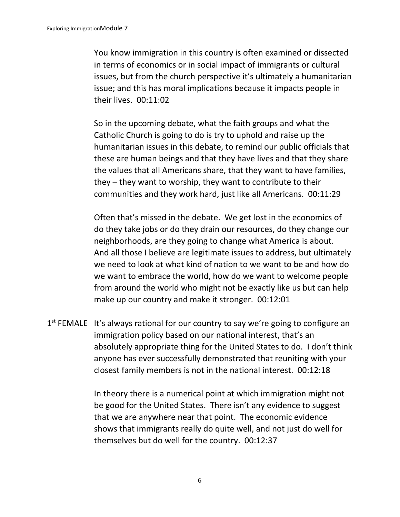You know immigration in this country is often examined or dissected in terms of economics or in social impact of immigrants or cultural issues, but from the church perspective it's ultimately a humanitarian issue; and this has moral implications because it impacts people in their lives. 00:11:02

So in the upcoming debate, what the faith groups and what the Catholic Church is going to do is try to uphold and raise up the humanitarian issues in this debate, to remind our public officials that these are human beings and that they have lives and that they share the values that all Americans share, that they want to have families, they – they want to worship, they want to contribute to their communities and they work hard, just like all Americans. 00:11:29

Often that's missed in the debate. We get lost in the economics of do they take jobs or do they drain our resources, do they change our neighborhoods, are they going to change what America is about. And all those I believe are legitimate issues to address, but ultimately we need to look at what kind of nation to we want to be and how do we want to embrace the world, how do we want to welcome people from around the world who might not be exactly like us but can help make up our country and make it stronger. 00:12:01

1<sup>st</sup> FEMALE It's always rational for our country to say we're going to configure an immigration policy based on our national interest, that's an absolutely appropriate thing for the United States to do. I don't think anyone has ever successfully demonstrated that reuniting with your closest family members is not in the national interest. 00:12:18

> In theory there is a numerical point at which immigration might not be good for the United States. There isn't any evidence to suggest that we are anywhere near that point. The economic evidence shows that immigrants really do quite well, and not just do well for themselves but do well for the country. 00:12:37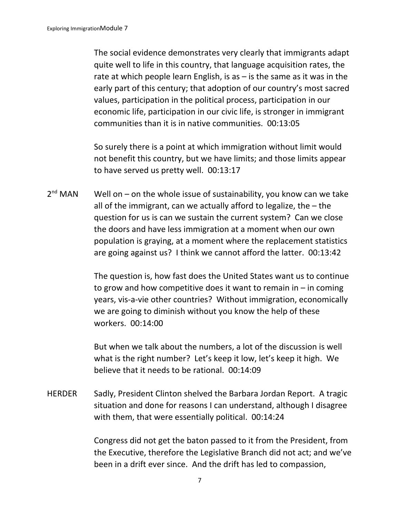The social evidence demonstrates very clearly that immigrants adapt quite well to life in this country, that language acquisition rates, the rate at which people learn English, is as  $-$  is the same as it was in the early part of this century; that adoption of our country's most sacred values, participation in the political process, participation in our economic life, participation in our civic life, is stronger in immigrant communities than it is in native communities. 00:13:05

So surely there is a point at which immigration without limit would not benefit this country, but we have limits; and those limits appear to have served us pretty well. 00:13:17

 $2<sup>nd</sup>$  MAN Well on – on the whole issue of sustainability, you know can we take all of the immigrant, can we actually afford to legalize, the – the question for us is can we sustain the current system? Can we close the doors and have less immigration at a moment when our own population is graying, at a moment where the replacement statistics are going against us? I think we cannot afford the latter. 00:13:42

> The question is, how fast does the United States want us to continue to grow and how competitive does it want to remain in  $-$  in coming years, vis-a-vie other countries? Without immigration, economically we are going to diminish without you know the help of these workers. 00:14:00

But when we talk about the numbers, a lot of the discussion is well what is the right number? Let's keep it low, let's keep it high. We believe that it needs to be rational. 00:14:09

HERDER Sadly, President Clinton shelved the Barbara Jordan Report. A tragic situation and done for reasons I can understand, although I disagree with them, that were essentially political. 00:14:24

> Congress did not get the baton passed to it from the President, from the Executive, therefore the Legislative Branch did not act; and we've been in a drift ever since. And the drift has led to compassion,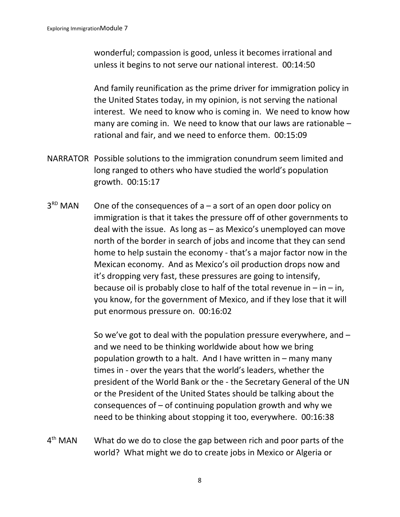wonderful; compassion is good, unless it becomes irrational and unless it begins to not serve our national interest. 00:14:50

And family reunification as the prime driver for immigration policy in the United States today, in my opinion, is not serving the national interest. We need to know who is coming in. We need to know how many are coming in. We need to know that our laws are rationable – rational and fair, and we need to enforce them. 00:15:09

- NARRATOR Possible solutions to the immigration conundrum seem limited and long ranged to others who have studied the world's population growth. 00:15:17
- $3<sup>RD</sup>$  MAN One of the consequences of  $a - a$  sort of an open door policy on immigration is that it takes the pressure off of other governments to deal with the issue. As long as – as Mexico's unemployed can move north of the border in search of jobs and income that they can send home to help sustain the economy - that's a major factor now in the Mexican economy. And as Mexico's oil production drops now and it's dropping very fast, these pressures are going to intensify, because oil is probably close to half of the total revenue in  $-$  in  $-$  in, you know, for the government of Mexico, and if they lose that it will put enormous pressure on. 00:16:02

So we've got to deal with the population pressure everywhere, and – and we need to be thinking worldwide about how we bring population growth to a halt. And I have written in – many many times in - over the years that the world's leaders, whether the president of the World Bank or the - the Secretary General of the UN or the President of the United States should be talking about the consequences of  $-$  of continuing population growth and why we need to be thinking about stopping it too, everywhere. 00:16:38

 $4<sup>th</sup>$  MAN What do we do to close the gap between rich and poor parts of the world? What might we do to create jobs in Mexico or Algeria or